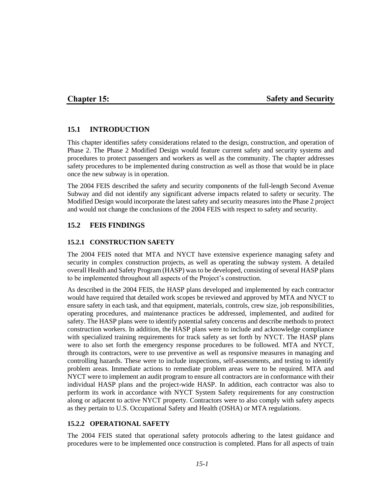## **Chapter 15:**

### **Safety and Security**

### **15.1 INTRODUCTION**

This chapter identifies safety considerations related to the design, construction, and operation of Phase 2. The Phase 2 Modified Design would feature current safety and security systems and procedures to protect passengers and workers as well as the community. The chapter addresses safety procedures to be implemented during construction as well as those that would be in place once the new subway is in operation.

The 2004 FEIS described the safety and security components of the full-length Second Avenue Subway and did not identify any significant adverse impacts related to safety or security. The Modified Design would incorporate the latest safety and security measures into the Phase 2 project and would not change the conclusions of the 2004 FEIS with respect to safety and security.

## **15.2 FEIS FINDINGS**

### **15.2.1 CONSTRUCTION SAFETY**

The 2004 FEIS noted that MTA and NYCT have extensive experience managing safety and security in complex construction projects, as well as operating the subway system. A detailed overall Health and Safety Program (HASP) was to be developed, consisting of several HASP plans to be implemented throughout all aspects of the Project's construction.

As described in the 2004 FEIS, the HASP plans developed and implemented by each contractor would have required that detailed work scopes be reviewed and approved by MTA and NYCT to ensure safety in each task, and that equipment, materials, controls, crew size, job responsibilities, operating procedures, and maintenance practices be addressed, implemented, and audited for safety. The HASP plans were to identify potential safety concerns and describe methods to protect construction workers. In addition, the HASP plans were to include and acknowledge compliance with specialized training requirements for track safety as set forth by NYCT. The HASP plans were to also set forth the emergency response procedures to be followed. MTA and NYCT, through its contractors, were to use preventive as well as responsive measures in managing and controlling hazards. These were to include inspections, self-assessments, and testing to identify problem areas. Immediate actions to remediate problem areas were to be required. MTA and NYCT were to implement an audit program to ensure all contractors are in conformance with their individual HASP plans and the project-wide HASP. In addition, each contractor was also to perform its work in accordance with NYCT System Safety requirements for any construction along or adjacent to active NYCT property. Contractors were to also comply with safety aspects as they pertain to U.S. Occupational Safety and Health (OSHA) or MTA regulations.

### **15.2.2 OPERATIONAL SAFETY**

The 2004 FEIS stated that operational safety protocols adhering to the latest guidance and procedures were to be implemented once construction is completed. Plans for all aspects of train